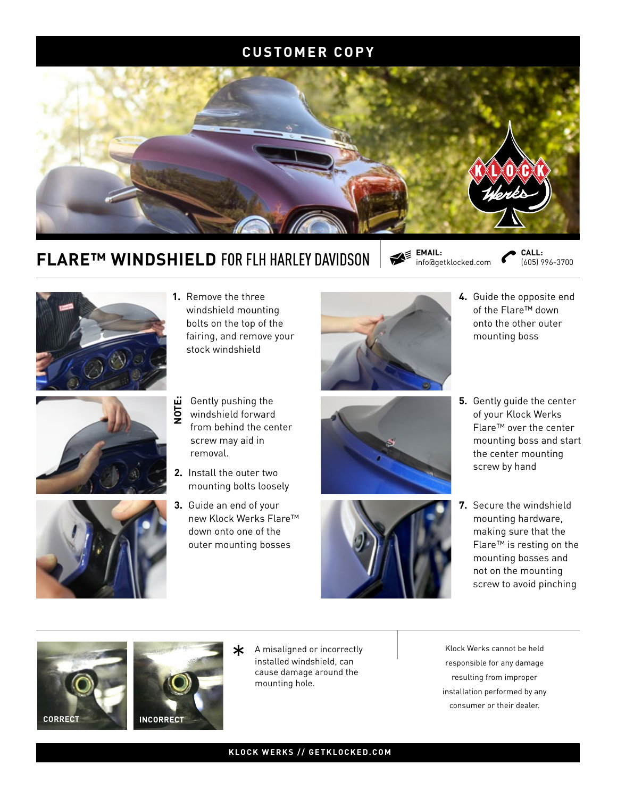#### **CUSTOMER COPY**



# **FLARE™ WINDSHIELD FOR FLH HARLEY DAVIDSON**  $\mathbb{R}^{\mathsf{E}}$  **EMAIL:**

**EMAIL:** 

(605) 996-3700 **CALL:**







- **1.** Remove the three windshield mounting bolts on the top of the fairing, and remove your stock windshield
- Gently pushing the windshield forward from behind the center screw may aid in removal. **NOTE:**
- **2.** Install the outer two mounting bolts loosely
- **3.** Guide an end of your new Klock Werks Flare™ down onto one of the outer mounting bosses







- **4.** Guide the opposite end of the Flare™ down onto the other outer mounting boss
- **5.** Gently guide the center of your Klock Werks Flare™ over the center mounting boss and start the center mounting screw by hand
- **7.** Secure the windshield mounting hardware, making sure that the Flare™ is resting on the mounting bosses and not on the mounting screw to avoid pinching





\* A misaligned or incorrectly<br>
installed windshield, can<br>
saying damage around the<br>
saying damage around the installed windshield, can cause damage around the mounting hole.

responsible for any damage resulting from improper installation performed by any consumer or their dealer.

#### **KLOCK WERKS // GETKLOCKED.COM**